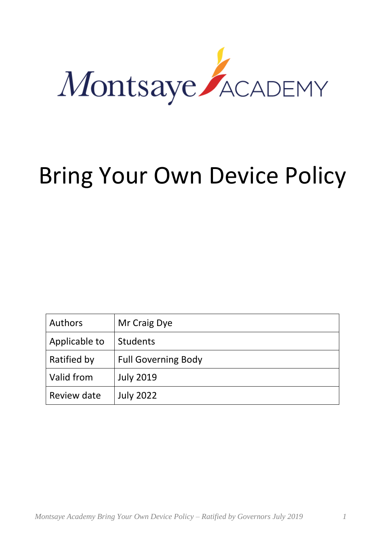

# Bring Your Own Device Policy

| Authors       | Mr Craig Dye               |
|---------------|----------------------------|
| Applicable to | <b>Students</b>            |
| Ratified by   | <b>Full Governing Body</b> |
| Valid from    | <b>July 2019</b>           |
| Review date   | <b>July 2022</b>           |